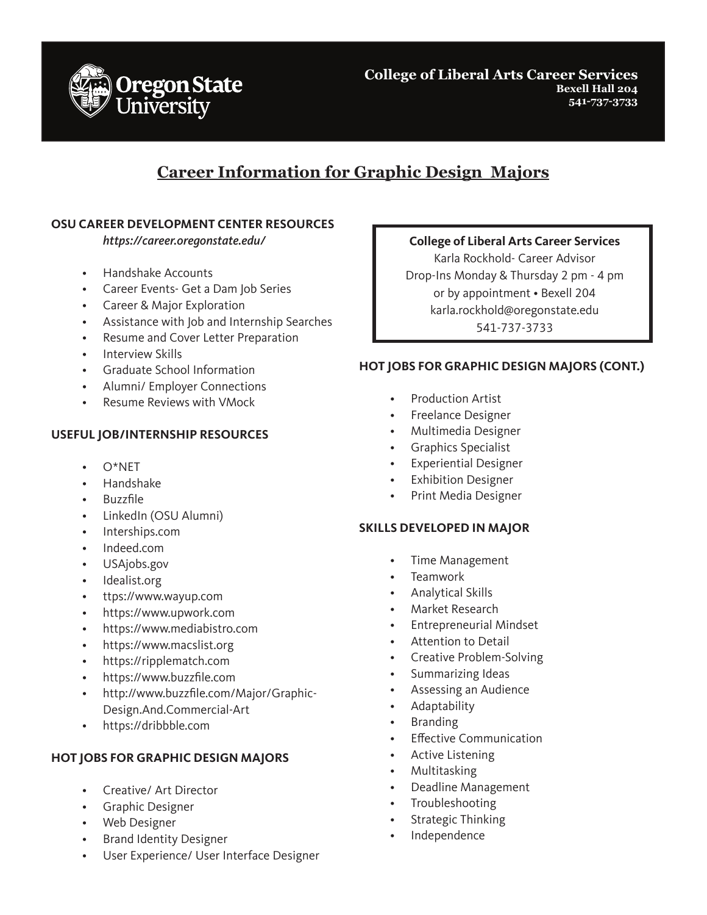

**College of Liberal Arts Career Services Bexell Hall 204 541-737-3733**

# **Career Information for Graphic Design Majors**

### **OSU CAREER DEVELOPMENT CENTER RESOURCES**

*https://career.oregonstate.edu/*

- Handshake Accounts
- Career Events- Get a Dam Job Series
- Career & Major Exploration
- Assistance with Job and Internship Searches
- Resume and Cover Letter Preparation
- Interview Skills
- Graduate School Information
- Alumni/ Employer Connections
- Resume Reviews with VMock

#### **USEFUL JOB/INTERNSHIP RESOURCES**

- $O^*NFT$
- Handshake
- Buzzfile
- LinkedIn (OSU Alumni)
- Interships.com
- Indeed.com
- USAjobs.gov
- Idealist.org
- ttps://www.wayup.com
- https://www.upwork.com
- https://www.mediabistro.com
- https://www.macslist.org
- https://ripplematch.com
- https://www.buzzfile.com
- http://www.buzzfile.com/Major/Graphic-Design.And.Commercial-Art
- https://dribbble.com

#### **HOT JOBS FOR GRAPHIC DESIGN MAJORS**

- Creative/ Art Director
- Graphic Designer
- Web Designer
- Brand Identity Designer
- User Experience/ User Interface Designer

### **College of Liberal Arts Career Services**

Karla Rockhold- Career Advisor Drop-Ins Monday & Thursday 2 pm - 4 pm or by appointment • Bexell 204 karla.rockhold@oregonstate.edu 541-737-3733

#### **HOT JOBS FOR GRAPHIC DESIGN MAJORS (CONT.)**

- Production Artist
- Freelance Designer
- Multimedia Designer
- Graphics Specialist
- Experiential Designer
- **Exhibition Designer**
- Print Media Designer

#### **SKILLS DEVELOPED IN MAJOR**

- Time Management
- Teamwork
- Analytical Skills
- Market Research
- Entrepreneurial Mindset
- Attention to Detail
- Creative Problem-Solving
- Summarizing Ideas
- Assessing an Audience
- Adaptability
- Branding
- Effective Communication
- Active Listening
- Multitasking
- Deadline Management
- **Troubleshooting**
- Strategic Thinking
- Independence